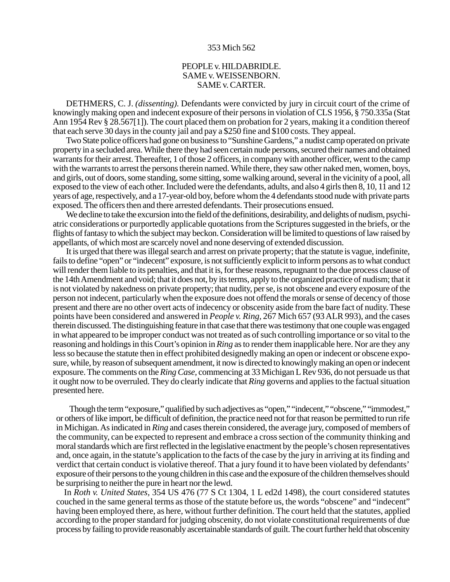## 353 Mich 562

## PEOPLE v. HILDABRIDLE. SAME v. WEISSENBORN. SAME v. CARTER.

DETHMERS, C. J. *(dissenting).* Defendants were convicted by jury in circuit court of the crime of knowingly making open and indecent exposure of their persons in violation of CLS 1956, § 750.335a (Stat Ann 1954 Rev § 28.567[1]). The court placed them on probation for 2 years, making it a condition thereof that each serve 30 days in the county jail and pay a \$250 fine and \$100 costs. They appeal.

Two State police officers had gone on business to "Sunshine Gardens," a nudist camp operated on private property in a secluded area. While there they had seen certain nude persons, secured their names and obtained warrants for their arrest. Thereafter, 1 of those 2 officers, in company with another officer, went to the camp with the warrants to arrest the persons therein named. While there, they saw other naked men, women, boys, and girls, out of doors, some standing, some sitting, some walking around, several in the vicinity of a pool, all exposed to the view of each other. Included were the defendants, adults, and also 4 girls then 8, 10, 11 and 12 years of age, respectively, and a 17-year-old boy, before whom the 4 defendants stood nude with private parts exposed. The officers then and there arrested defendants. Their prosecutions ensued.

We decline to take the excursion into the field of the definitions, desirability, and delights of nudism, psychiatric considerations or purportedly applicable quotations from the Scriptures suggested in the briefs, or the flights of fantasy to which the subject may beckon. Consideration will be limited to questions of law raised by appellants, of which most are scarcely novel and none deserving of extended discussion.

It is urged that there was illegal search and arrest on private property; that the statute is vague, indefinite, fails to define "open" or "indecent" exposure, is not sufficiently explicit to inform persons as to what conduct will render them liable to its penalties, and that it is, for these reasons, repugnant to the due process clause of the 14th Amendment and void; that it does not, by its terms, apply to the organized practice of nudism; that it is not violated by nakedness on private property; that nudity, per se, is not obscene and every exposure of the person not indecent, particularly when the exposure does not offend the morals or sense of decency of those present and there are no other overt acts of indecency or obscenity aside from the bare fact of nudity. These points have been considered and answered in *People v. Ring,* 267 Mich 657 (93 ALR 993), and the cases therein discussed. The distinguishing feature in that case that there was testimony that one couple was engaged in what appeared to be improper conduct was not treated as of such controlling importance or so vital to the reasoning and holdings in this Court's opinion in *Ring* as to render them inapplicable here. Nor are they any less so because the statute then in effect prohibited designedly making an open or indecent or obscene exposure, while, by reason of subsequent amendment, it now is directed to knowingly making an open or indecent exposure. The comments on the *Ring Case,* commencing at 33 Michigan L Rev 936, do not persuade us that it ought now to be overruled. They do clearly indicate that *Ring* governs and applies to the factual situation presented here.

Though the term "exposure," qualified by such adjectives as "open," "indecent," "obscene," "immodest," or others of like import, be difficult of definition, the practice need not for that reason be permitted to run rife in Michigan. As indicated in *Ring* and cases therein considered, the average jury, composed of members of the community, can be expected to represent and embrace a cross section of the community thinking and moral standards which are first reflected in the legislative enactment by the people's chosen representatives and, once again, in the statute's application to the facts of the case by the jury in arriving at its finding and verdict that certain conduct is violative thereof. That a jury found it to have been violated by defendants' exposure of their persons to the young children in this case and the exposure of the children themselves should be surprising to neither the pure in heart nor the lewd.

In *Roth v. United States,* 354 US 476 (77 S Ct 1304, 1 L ed2d 1498), the court considered statutes couched in the same general terms as those of the statute before us, the words "obscene" and "indecent" having been employed there, as here, without further definition. The court held that the statutes, applied according to the proper standard for judging obscenity, do not violate constitutional requirements of due process by failing to provide reasonably ascertainable standards of guilt. The court further held that obscenity